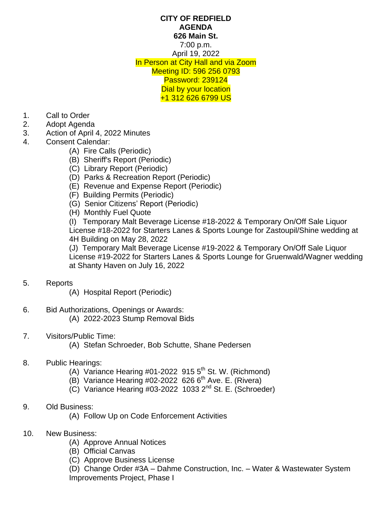## **CITY OF REDFIELD AGENDA 626 Main St.** 7:00 p.m. April 19, 2022 In Person at City Hall and via Zoom Meeting ID: 596 256 0793 Password: 239124 Dial by your location +1 312 626 6799 US

- 1. Call to Order<br>2. Adopt Agenda
- Adopt Agenda
- 3. Action of April 4, 2022 Minutes
- 4. Consent Calendar:
	- (A) Fire Calls (Periodic)
	- (B) Sheriff's Report (Periodic)
	- (C) Library Report (Periodic)
	- (D) Parks & Recreation Report (Periodic)
	- (E) Revenue and Expense Report (Periodic)
	- (F) Building Permits (Periodic)
	- (G) Senior Citizens' Report (Periodic)
	- (H) Monthly Fuel Quote

(I) Temporary Malt Beverage License #18-2022 & Temporary On/Off Sale Liquor License #18-2022 for Starters Lanes & Sports Lounge for Zastoupil/Shine wedding at 4H Building on May 28, 2022

(J) Temporary Malt Beverage License #19-2022 & Temporary On/Off Sale Liquor License #19-2022 for Starters Lanes & Sports Lounge for Gruenwald/Wagner wedding at Shanty Haven on July 16, 2022

## 5. Reports

(A) Hospital Report (Periodic)

- 6. Bid Authorizations, Openings or Awards: (A) 2022-2023 Stump Removal Bids
- 7. Visitors/Public Time:

(A) Stefan Schroeder, Bob Schutte, Shane Pedersen

## 8. Public Hearings:

- (A) Variance Hearing  $#01$ -2022 915  $5<sup>th</sup>$  St. W. (Richmond)
- $(B)$  Variance Hearing #02-2022 626 6<sup>th</sup> Ave. E. (Rivera)
- (C) Variance Hearing #03-2022 1033 2nd St. E. (Schroeder)
- 9. Old Business:
	- (A) Follow Up on Code Enforcement Activities
- 10. New Business:
	- (A) Approve Annual Notices
	- (B) Official Canvas
	- (C) Approve Business License

(D) Change Order #3A – Dahme Construction, Inc. – Water & Wastewater System Improvements Project, Phase I